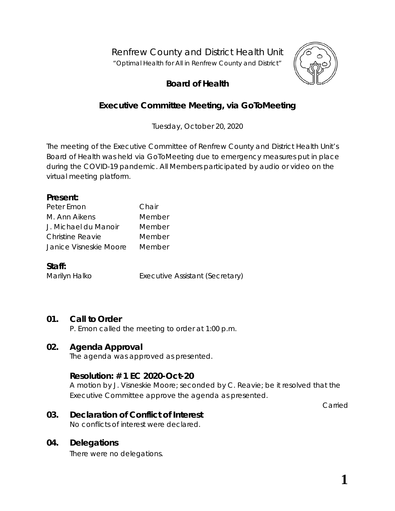Renfrew County and District Health Unit

*"Optimal Health for All in Renfrew County and District"*



# **Board of Health**

# **Executive Committee Meeting, via GoToMeeting**

Tuesday, October 20, 2020

The meeting of the Executive Committee of Renfrew County and District Health Unit's Board of Health was held via GoToMeeting due to emergency measures put in place during the COVID-19 pandemic. All Members participated by audio or video on the virtual meeting platform.

#### **Present:**

| Peter Emon             | Chair  |
|------------------------|--------|
| M. Ann Aikens          | Member |
| J. Michael du Manoir   | Member |
| Christine Reavie       | Member |
| Janice Visneskie Moore | Member |

## **Staff:**

Marilyn Halko **Executive Assistant (Secretary)** 

## **01. Call to Order**

P. Emon called the meeting to order at 1:00 p.m.

## **02. Agenda Approval**

The agenda was approved as presented.

## **Resolution: # 1 EC 2020-Oct-20**

A motion by J. Visneskie Moore; seconded by C. Reavie; be it resolved that the Executive Committee approve the agenda as presented.

Carried

## **03. Declaration of Conflict of Interest**

No conflicts of interest were declared.

## **04. Delegations**

There were no delegations.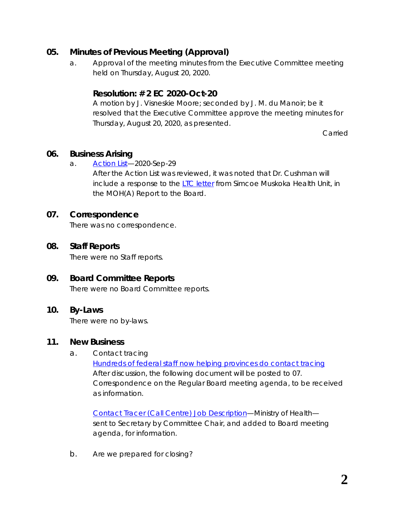## **05. Minutes of Previous Meeting (Approval)**

a. Approval of the meeting minutes from the Executive Committee meeting held on Thursday, August 20, 2020.

## **Resolution: # 2 EC 2020-Oct-20**

A motion by J. Visneskie Moore; seconded by J. M. du Manoir; be it resolved that the Executive Committee approve the meeting minutes for Thursday, August 20, 2020, as presented.

Carried

## **06. Business Arising**

a. [Action List—](http://portal.rcdhu.com/board/wp-content/uploads/2020/10/06.-Action-List-Regular-Board-Meeting-Minutes-2020-Sep-29-changes-in-Strategies.pdf)2020-Sep-29

After the Action List was reviewed, it was noted that Dr. Cushman will include a response to the [LTC letter](http://portal.rcdhu.com/board/wp-content/uploads/2020/09/07.-e.-COVID-19-and-Long-Term-Care-Reform.pdf) from Simcoe Muskoka Health Unit, in the MOH(A) Report to the Board.

## **07. Correspondence**

There was no correspondence.

## **08. Staff Reports**

There were no Staff reports.

## **09. Board Committee Reports**

There were no Board Committee reports.

## **10. By-Laws**

There were no by-laws.

## **11. New Business**

a. Contact tracing

[Hundreds of federal staff now helping provinces do contact tracing](https://www.rcdhu.com/wp-content/uploads/2021/02/11.-a.-Hundreds-of-federal-staff-now-helping-provinces-do-contact-tracing.pdf) After discussion, the following document will be posted to 07. Correspondence on the Regular Board meeting agenda, to be received as information.

[Contact Tracer \(Call Centre\) Job Description—](https://www.rcdhu.com/wp-content/uploads/2021/02/11.-a.-i.-Contact-Tracer-Job-Description-MOH-20-10-14.pdf)Ministry of Health sent to Secretary by Committee Chair, and added to Board meeting agenda, for information.

b. Are we prepared for closing?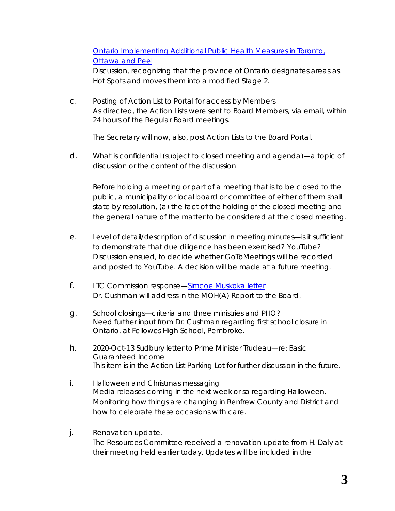## [Ontario Implementing Additional Public Health Measures in Toronto,](https://www.rcdhu.com/wp-content/uploads/2021/02/11.-b.-News-Release-Hot-Spot-Closing.pdf)  [Ottawa and Peel](https://www.rcdhu.com/wp-content/uploads/2021/02/11.-b.-News-Release-Hot-Spot-Closing.pdf)

Discussion, recognizing that the province of Ontario designates areas as *Hot Spots* and moves them into a modified Stage 2.

c. Posting of Action List to Portal for access by Members As directed, the *Action Lists* were sent to Board Members, via email, within 24 hours of the Regular Board meetings.

The Secretary will now, also, post *Action Lists* to the Board Portal.

d. What is confidential (subject to closed meeting and agenda)—a topic of discussion or the content of the discussion

Before holding a meeting or part of a meeting that is to be closed to the public, a municipality or local board or committee of either of them shall state by resolution, (a) the fact of the holding of the closed meeting and the general nature of the matter to be considered at the closed meeting.

- e. Level of detail/description of discussion in meeting minutes—is it sufficient to demonstrate that due diligence has been exercised? YouTube? Discussion ensued, to decide whether *GoToMeetings* will be recorded and posted to YouTube. A decision will be made at a future meeting.
- f. LTC Commission response-Simcoe Muskoka letter Dr. Cushman will address in the MOH(A) Report to the Board.
- g. School closings—criteria and three ministries and PHO? Need further input from Dr. Cushman regarding first school closure in Ontario, at Fellowes High School, Pembroke.
- h. 2020-Oct-13 Sudbury letter to Prime Minister Trudeau—re: *Basic Guaranteed Income* This item is in the Action List Parking Lot for further discussion in the future.
- i. Halloween and Christmas messaging Media releases coming in the next week or so regarding Halloween. Monitoring how things are changing in Renfrew County and District and how to celebrate these occasions with care.
- j. Renovation update. The Resources Committee received a renovation update from H. Daly at their meeting held earlier today. Updates will be included in the